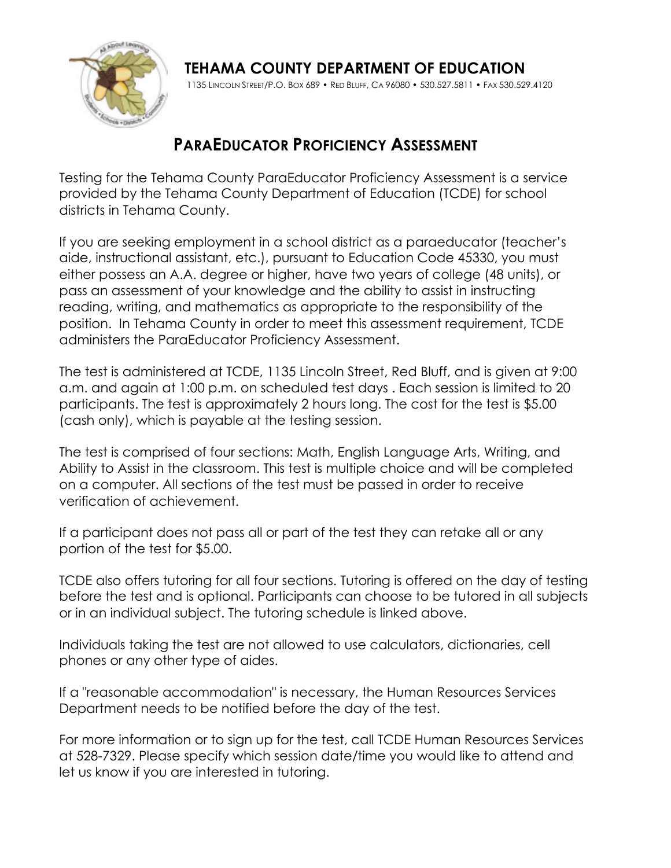

**TEHAMA COUNTY DEPARTMENT OF EDUCATION** 1135 LINCOLN STREET/P.O. BOX 689 • RED BLUFF, CA 96080 • 530.527.5811 • FAX 530.529.4120

# **PARAEDUCATOR PROFICIENCY ASSESSMENT**

Testing for the Tehama County ParaEducator Proficiency Assessment is a service provided by the Tehama County Department of Education (TCDE) for school districts in Tehama County.

If you are seeking employment in a school district as a paraeducator (teacher's aide, instructional assistant, etc.), pursuant to Education Code 45330, you must either possess an A.A. degree or higher, have two years of college (48 units), or pass an assessment of your knowledge and the ability to assist in instructing reading, writing, and mathematics as appropriate to the responsibility of the position. In Tehama County in order to meet this assessment requirement, TCDE administers the ParaEducator Proficiency Assessment.

The test is administered at TCDE, 1135 Lincoln Street, Red Bluff, and is given at 9:00 a.m. and again at 1:00 p.m. on scheduled test days . Each session is limited to 20 participants. The test is approximately 2 hours long. The cost for the test is \$5.00 (cash only), which is payable at the testing session.

The test is comprised of four sections: Math, English Language Arts, Writing, and Ability to Assist in the classroom. This test is multiple choice and will be completed on a computer. All sections of the test must be passed in order to receive verification of achievement.

If a participant does not pass all or part of the test they can retake all or any portion of the test for \$5.00.

TCDE also offers tutoring for all four sections. Tutoring is offered on the day of testing before the test and is optional. Participants can choose to be tutored in all subjects or in an individual subject. The tutoring schedule is linked above.

Individuals taking the test are not allowed to use calculators, dictionaries, cell phones or any other type of aides.

If a "reasonable accommodation" is necessary, the Human Resources Services Department needs to be notified before the day of the test.

For more information or to sign up for the test, call TCDE Human Resources Services at 528-7329. Please specify which session date/time you would like to attend and let us know if you are interested in tutoring.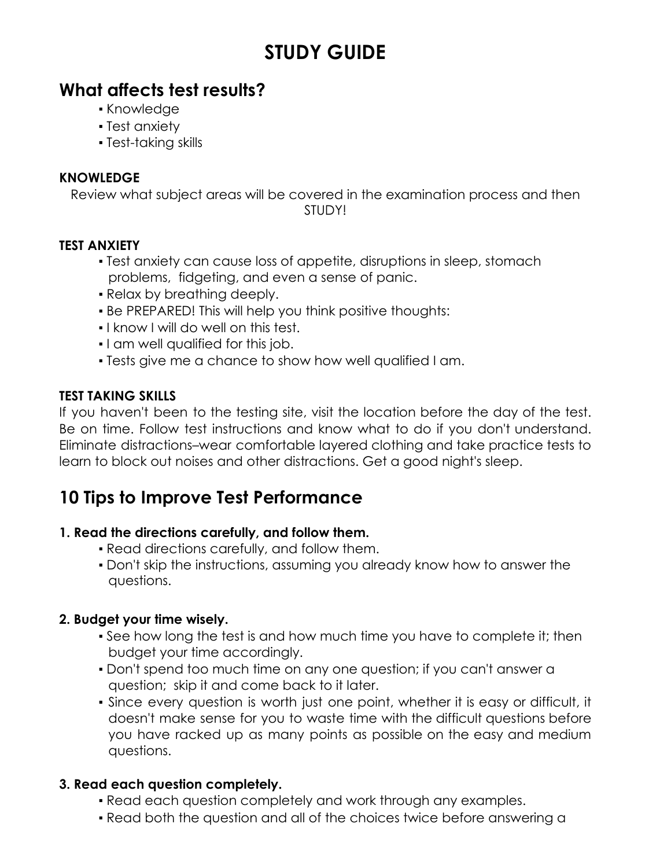# **STUDY GUIDE**

# **What affects test results?**

- Knowledge
- **Test anxiety**
- Test-taking skills

### **KNOWLEDGE**

Review what subject areas will be covered in the examination process and then STUDY!

### **TEST ANXIETY**

- Test anxiety can cause loss of appetite, disruptions in sleep, stomach problems, fidgeting, and even a sense of panic.
- Relax by breathing deeply.
- **Be PREPARED! This will help you think positive thoughts:**
- I know I will do well on this test.
- I am well qualified for this job.
- Tests give me a chance to show how well qualified I am.

### **TEST TAKING SKILLS**

If you haven't been to the testing site, visit the location before the day of the test. Be on time. Follow test instructions and know what to do if you don't understand. Eliminate distractions–wear comfortable layered clothing and take practice tests to learn to block out noises and other distractions. Get a good night's sleep.

# **10 Tips to Improve Test Performance**

#### **1. Read the directions carefully, and follow them.**

- Read directions carefully, and follow them.
- Don't skip the instructions, assuming you already know how to answer the questions.

### **2. Budget your time wisely.**

- See how long the test is and how much time you have to complete it; then budget your time accordingly.
- Don't spend too much time on any one question; if you can't answer a question; skip it and come back to it later.
- Since every question is worth just one point, whether it is easy or difficult, it doesn't make sense for you to waste time with the difficult questions before you have racked up as many points as possible on the easy and medium questions.

#### **3. Read each question completely.**

- Read each question completely and work through any examples.
- Read both the question and all of the choices twice before answering a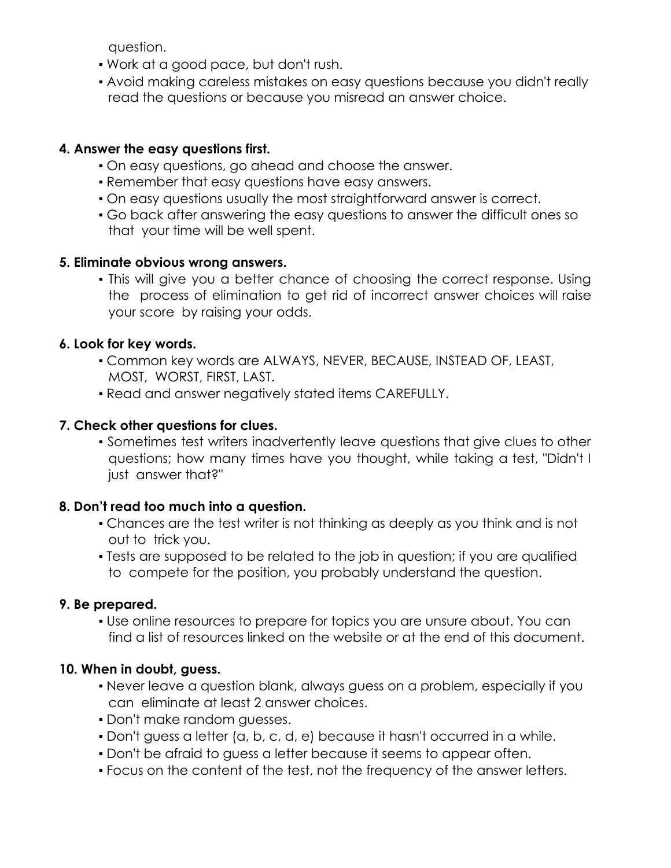question.

- Work at a good pace, but don't rush.
- Avoid making careless mistakes on easy questions because you didn't really read the questions or because you misread an answer choice.

### **4. Answer the easy questions first.**

- On easy questions, go ahead and choose the answer.
- **Remember that easy questions have easy answers.**
- On easy questions usually the most straightforward answer is correct.
- Go back after answering the easy questions to answer the difficult ones so that your time will be well spent.

#### **5. Eliminate obvious wrong answers.**

• This will give you a better chance of choosing the correct response. Using the process of elimination to get rid of incorrect answer choices will raise your score by raising your odds.

### **6. Look for key words.**

- Common key words are ALWAYS, NEVER, BECAUSE, INSTEAD OF, LEAST, MOST, WORST, FIRST, LAST.
- Read and answer negatively stated items CAREFULLY.

### **7. Check other questions for clues.**

▪ Sometimes test writers inadvertently leave questions that give clues to other questions; how many times have you thought, while taking a test, "Didn't I just answer that?"

#### **8. Don't read too much into a question.**

- Chances are the test writer is not thinking as deeply as you think and is not out to trick you.
- Tests are supposed to be related to the job in question; if you are qualified to compete for the position, you probably understand the question.

#### **9. Be prepared.**

▪ Use online resources to prepare for topics you are unsure about. You can find a list of resources linked on the website or at the end of this document.

### **10. When in doubt, guess.**

- Never leave a question blank, always guess on a problem, especially if you can eliminate at least 2 answer choices.
- Don't make random guesses.
- Don't guess a letter (a, b, c, d, e) because it hasn't occurred in a while.
- Don't be afraid to guess a letter because it seems to appear often.
- Focus on the content of the test, not the frequency of the answer letters.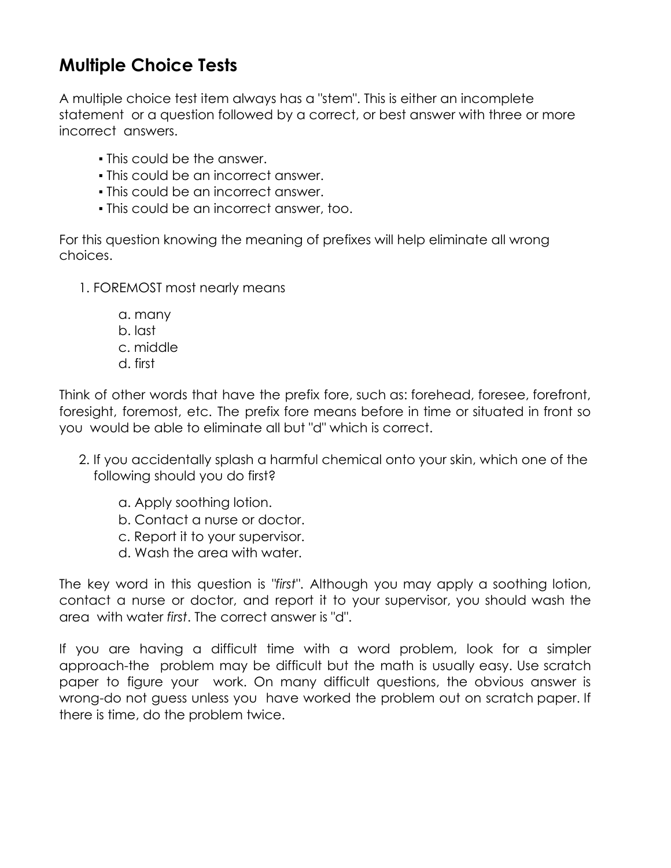# **Multiple Choice Tests**

A multiple choice test item always has a "stem". This is either an incomplete statement or a question followed by a correct, or best answer with three or more incorrect answers.

- **This could be the answer.**
- This could be an incorrect answer.
- This could be an incorrect answer.
- This could be an incorrect answer, too.

For this question knowing the meaning of prefixes will help eliminate all wrong choices.

- 1. FOREMOST most nearly means
	- a. many b. last
	- c. middle
	- d. first

Think of other words that have the prefix fore, such as: forehead, foresee, forefront, foresight, foremost, etc. The prefix fore means before in time or situated in front so you would be able to eliminate all but "d" which is correct.

- 2. If you accidentally splash a harmful chemical onto your skin, which one of the following should you do first?
	- a. Apply soothing lotion.
	- b. Contact a nurse or doctor.
	- c. Report it to your supervisor.
	- d. Wash the area with water.

The key word in this question is *"first"*. Although you may apply a soothing lotion, contact a nurse or doctor, and report it to your supervisor, you should wash the area with water *first*. The correct answer is "d".

If you are having a difficult time with a word problem, look for a simpler approach-the problem may be difficult but the math is usually easy. Use scratch paper to figure your work. On many difficult questions, the obvious answer is wrong-do not guess unless you have worked the problem out on scratch paper. If there is time, do the problem twice.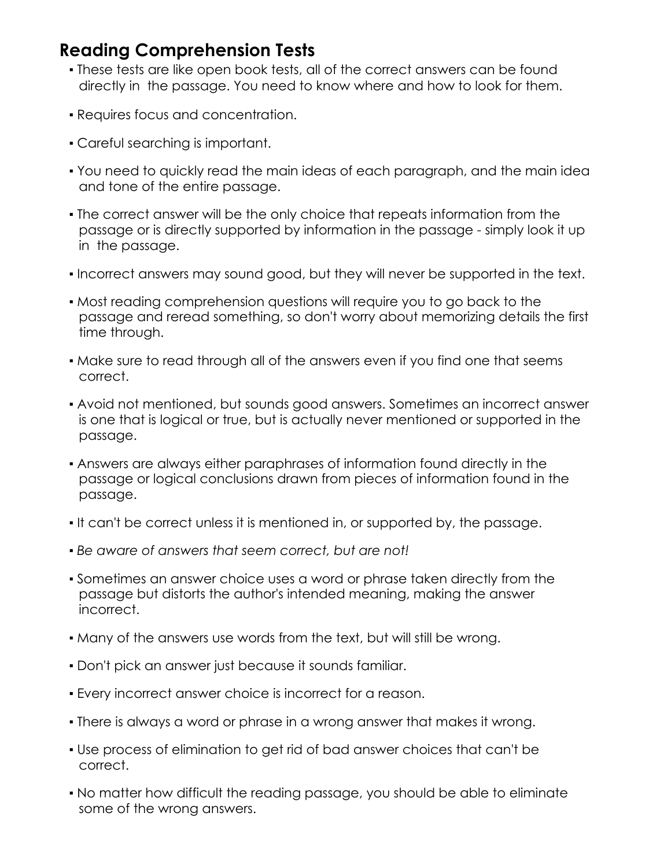### **Reading Comprehension Tests**

- . These tests are like open book tests, all of the correct answers can be found directly in the passage. You need to know where and how to look for them.
- Requires focus and concentration.
- Careful searching is important.
- You need to quickly read the main ideas of each paragraph, and the main idea and tone of the entire passage.
- The correct answer will be the only choice that repeats information from the passage or is directly supported by information in the passage - simply look it up in the passage.
- Incorrect answers may sound good, but they will never be supported in the text.
- Most reading comprehension questions will require you to go back to the passage and reread something, so don't worry about memorizing details the first time through.
- Make sure to read through all of the answers even if you find one that seems correct.
- Avoid not mentioned, but sounds good answers. Sometimes an incorrect answer is one that is logical or true, but is actually never mentioned or supported in the passage.
- Answers are always either paraphrases of information found directly in the passage or logical conclusions drawn from pieces of information found in the passage.
- It can't be correct unless it is mentioned in, or supported by, the passage.
- *Be aware of answers that seem correct, but are not!*
- Sometimes an answer choice uses a word or phrase taken directly from the passage but distorts the author's intended meaning, making the answer incorrect.
- Many of the answers use words from the text, but will still be wrong.
- Don't pick an answer just because it sounds familiar.
- Every incorrect answer choice is incorrect for a reason.
- There is always a word or phrase in a wrong answer that makes it wrong.
- Use process of elimination to get rid of bad answer choices that can't be correct.
- No matter how difficult the reading passage, you should be able to eliminate some of the wrong answers.